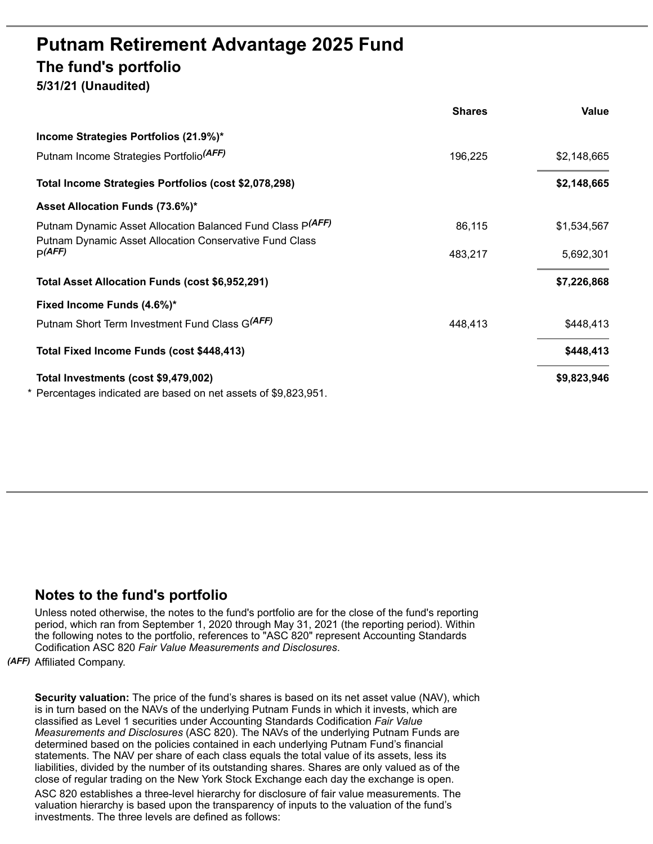## **Putnam Retirement Advantage 2025 Fund The fund's portfolio**

**5/31/21 (Unaudited)**

|                                                                                                                       | <b>Shares</b> | Value       |
|-----------------------------------------------------------------------------------------------------------------------|---------------|-------------|
| Income Strategies Portfolios (21.9%)*                                                                                 |               |             |
| Putnam Income Strategies Portfolio <sup>(AFF)</sup>                                                                   | 196,225       | \$2,148,665 |
| Total Income Strategies Portfolios (cost \$2,078,298)                                                                 |               | \$2,148,665 |
| Asset Allocation Funds (73.6%)*                                                                                       |               |             |
| Putnam Dynamic Asset Allocation Balanced Fund Class P(AFF)<br>Putnam Dynamic Asset Allocation Conservative Fund Class | 86,115        | \$1,534,567 |
| p(AFF)                                                                                                                | 483,217       | 5,692,301   |
| Total Asset Allocation Funds (cost \$6,952,291)                                                                       |               | \$7,226,868 |
| Fixed Income Funds (4.6%)*                                                                                            |               |             |
| Putnam Short Term Investment Fund Class G(AFF)                                                                        | 448,413       | \$448,413   |
| Total Fixed Income Funds (cost \$448,413)                                                                             |               | \$448,413   |
| Total Investments (cost \$9,479,002)                                                                                  |               | \$9,823,946 |
| * Percentages indicated are based on net assets of \$9,823,951.                                                       |               |             |

## **Notes to the fund's portfolio**

Unless noted otherwise, the notes to the fund's portfolio are for the close of the fund's reporting period, which ran from September 1, 2020 through May 31, 2021 (the reporting period). Within the following notes to the portfolio, references to "ASC 820" represent Accounting Standards Codification ASC 820 *Fair Value Measurements and Disclosures*.

*(AFF)* Affiliated Company.

**Security valuation:** The price of the fund's shares is based on its net asset value (NAV), which is in turn based on the NAVs of the underlying Putnam Funds in which it invests, which are classified as Level 1 securities under Accounting Standards Codification *Fair Value Measurements and Disclosures* (ASC 820). The NAVs of the underlying Putnam Funds are determined based on the policies contained in each underlying Putnam Fund's financial statements. The NAV per share of each class equals the total value of its assets, less its liabilities, divided by the number of its outstanding shares. Shares are only valued as of the close of regular trading on the New York Stock Exchange each day the exchange is open.

ASC 820 establishes a three-level hierarchy for disclosure of fair value measurements. The valuation hierarchy is based upon the transparency of inputs to the valuation of the fund's investments. The three levels are defined as follows: